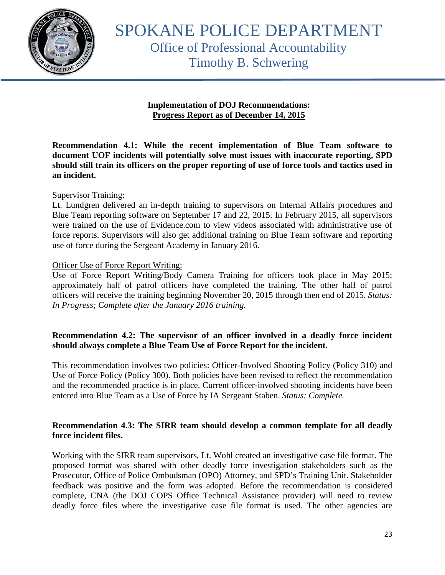

SPOKANE POLICE DEPARTMENT Office of Professional Accountability Timothy B. Schwering

#### **Implementation of DOJ Recommendations: Progress Report as of December 14, 2015**

**Recommendation 4.1: While the recent implementation of Blue Team software to document UOF incidents will potentially solve most issues with inaccurate reporting, SPD should still train its officers on the proper reporting of use of force tools and tactics used in an incident.** 

## Supervisor Training:

Lt. Lundgren delivered an in-depth training to supervisors on Internal Affairs procedures and Blue Team reporting software on September 17 and 22, 2015. In February 2015, all supervisors were trained on the use of Evidence.com to view videos associated with administrative use of force reports. Supervisors will also get additional training on Blue Team software and reporting use of force during the Sergeant Academy in January 2016.

#### Officer Use of Force Report Writing:

Use of Force Report Writing/Body Camera Training for officers took place in May 2015; approximately half of patrol officers have completed the training. The other half of patrol officers will receive the training beginning November 20, 2015 through then end of 2015. *Status: In Progress; Complete after the January 2016 training.*

## **Recommendation 4.2: The supervisor of an officer involved in a deadly force incident should always complete a Blue Team Use of Force Report for the incident.**

This recommendation involves two policies: Officer-Involved Shooting Policy (Policy 310) and Use of Force Policy (Policy 300). Both policies have been revised to reflect the recommendation and the recommended practice is in place. Current officer-involved shooting incidents have been entered into Blue Team as a Use of Force by IA Sergeant Staben. *Status: Complete.*

## **Recommendation 4.3: The SIRR team should develop a common template for all deadly force incident files.**

Working with the SIRR team supervisors, Lt. Wohl created an investigative case file format. The proposed format was shared with other deadly force investigation stakeholders such as the Prosecutor, Office of Police Ombudsman (OPO) Attorney, and SPD's Training Unit. Stakeholder feedback was positive and the form was adopted. Before the recommendation is considered complete, CNA (the DOJ COPS Office Technical Assistance provider) will need to review deadly force files where the investigative case file format is used. The other agencies are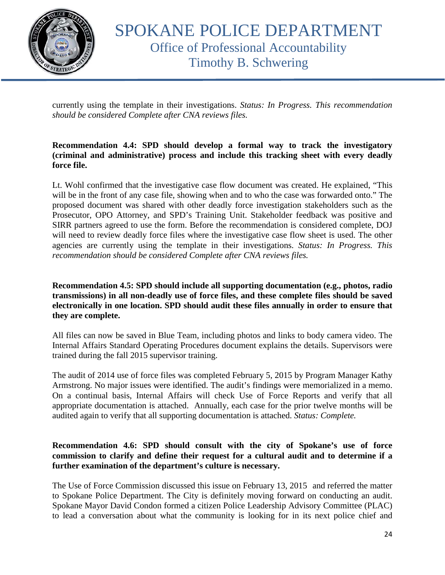

currently using the template in their investigations. *Status: In Progress. This recommendation should be considered Complete after CNA reviews files.* 

## **Recommendation 4.4: SPD should develop a formal way to track the investigatory (criminal and administrative) process and include this tracking sheet with every deadly force file.**

Lt. Wohl confirmed that the investigative case flow document was created. He explained, "This will be in the front of any case file, showing when and to who the case was forwarded onto." The proposed document was shared with other deadly force investigation stakeholders such as the Prosecutor, OPO Attorney, and SPD's Training Unit. Stakeholder feedback was positive and SIRR partners agreed to use the form. Before the recommendation is considered complete, DOJ will need to review deadly force files where the investigative case flow sheet is used. The other agencies are currently using the template in their investigations. *Status: In Progress. This recommendation should be considered Complete after CNA reviews files.*

**Recommendation 4.5: SPD should include all supporting documentation (e.g., photos, radio transmissions) in all non-deadly use of force files, and these complete files should be saved electronically in one location. SPD should audit these files annually in order to ensure that they are complete.**

All files can now be saved in Blue Team, including photos and links to body camera video. The Internal Affairs Standard Operating Procedures document explains the details. Supervisors were trained during the fall 2015 supervisor training.

The audit of 2014 use of force files was completed February 5, 2015 by Program Manager Kathy Armstrong. No major issues were identified. The audit's findings were memorialized in a memo. On a continual basis, Internal Affairs will check Use of Force Reports and verify that all appropriate documentation is attached. Annually, each case for the prior twelve months will be audited again to verify that all supporting documentation is attached. *Status: Complete.*

#### **Recommendation 4.6: SPD should consult with the city of Spokane's use of force commission to clarify and define their request for a cultural audit and to determine if a further examination of the department's culture is necessary.**

The Use of Force Commission discussed this issue on February 13, 2015 and referred the matter to Spokane Police Department. The City is definitely moving forward on conducting an audit. Spokane Mayor David Condon formed a citizen Police Leadership Advisory Committee (PLAC) to lead a conversation about what the community is looking for in its next police chief and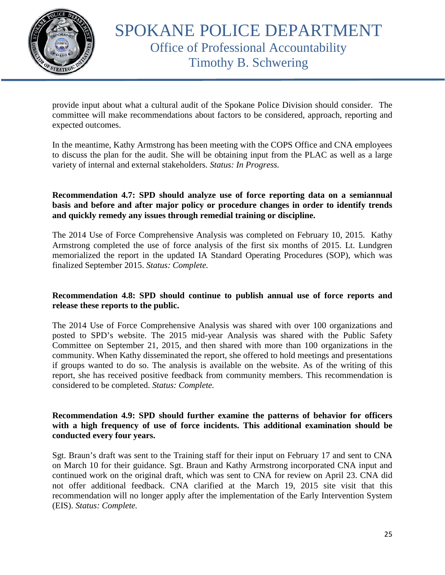

provide input about what a cultural audit of the Spokane Police Division should consider. The committee will make recommendations about factors to be considered, approach, reporting and expected outcomes.

In the meantime, Kathy Armstrong has been meeting with the COPS Office and CNA employees to discuss the plan for the audit. She will be obtaining input from the PLAC as well as a large variety of internal and external stakeholders. *Status: In Progress.*

## **Recommendation 4.7: SPD should analyze use of force reporting data on a semiannual basis and before and after major policy or procedure changes in order to identify trends and quickly remedy any issues through remedial training or discipline.**

The 2014 Use of Force Comprehensive Analysis was completed on February 10, 2015. Kathy Armstrong completed the use of force analysis of the first six months of 2015. Lt. Lundgren memorialized the report in the updated IA Standard Operating Procedures (SOP), which was finalized September 2015. *Status: Complete.*

## **Recommendation 4.8: SPD should continue to publish annual use of force reports and release these reports to the public.**

The 2014 Use of Force Comprehensive Analysis was shared with over 100 organizations and posted to SPD's website. The 2015 mid-year Analysis was shared with the Public Safety Committee on September 21, 2015, and then shared with more than 100 organizations in the community. When Kathy disseminated the report, she offered to hold meetings and presentations if groups wanted to do so. The analysis is available on the website. As of the writing of this report, she has received positive feedback from community members. This recommendation is considered to be completed. *Status: Complete.*

#### **Recommendation 4.9: SPD should further examine the patterns of behavior for officers with a high frequency of use of force incidents. This additional examination should be conducted every four years.**

Sgt. Braun's draft was sent to the Training staff for their input on February 17 and sent to CNA on March 10 for their guidance. Sgt. Braun and Kathy Armstrong incorporated CNA input and continued work on the original draft, which was sent to CNA for review on April 23. CNA did not offer additional feedback. CNA clarified at the March 19, 2015 site visit that this recommendation will no longer apply after the implementation of the Early Intervention System (EIS). *Status: Complete.*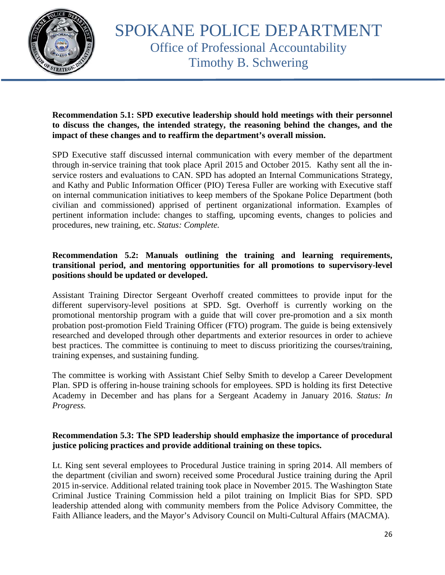

## **Recommendation 5.1: SPD executive leadership should hold meetings with their personnel to discuss the changes, the intended strategy, the reasoning behind the changes, and the impact of these changes and to reaffirm the department's overall mission.**

SPD Executive staff discussed internal communication with every member of the department through in-service training that took place April 2015 and October 2015. Kathy sent all the inservice rosters and evaluations to CAN. SPD has adopted an Internal Communications Strategy, and Kathy and Public Information Officer (PIO) Teresa Fuller are working with Executive staff on internal communication initiatives to keep members of the Spokane Police Department (both civilian and commissioned) apprised of pertinent organizational information. Examples of pertinent information include: changes to staffing, upcoming events, changes to policies and procedures, new training, etc. *Status: Complete.*

# **Recommendation 5.2: Manuals outlining the training and learning requirements, transitional period, and mentoring opportunities for all promotions to supervisory-level positions should be updated or developed.**

Assistant Training Director Sergeant Overhoff created committees to provide input for the different supervisory-level positions at SPD. Sgt. Overhoff is currently working on the promotional mentorship program with a guide that will cover pre-promotion and a six month probation post-promotion Field Training Officer (FTO) program. The guide is being extensively researched and developed through other departments and exterior resources in order to achieve best practices. The committee is continuing to meet to discuss prioritizing the courses/training, training expenses, and sustaining funding.

The committee is working with Assistant Chief Selby Smith to develop a Career Development Plan. SPD is offering in-house training schools for employees. SPD is holding its first Detective Academy in December and has plans for a Sergeant Academy in January 2016. *Status: In Progress.*

# **Recommendation 5.3: The SPD leadership should emphasize the importance of procedural justice policing practices and provide additional training on these topics.**

Lt. King sent several employees to Procedural Justice training in spring 2014. All members of the department (civilian and sworn) received some Procedural Justice training during the April 2015 in-service. Additional related training took place in November 2015. The Washington State Criminal Justice Training Commission held a pilot training on Implicit Bias for SPD. SPD leadership attended along with community members from the Police Advisory Committee, the Faith Alliance leaders, and the Mayor's Advisory Council on Multi-Cultural Affairs (MACMA).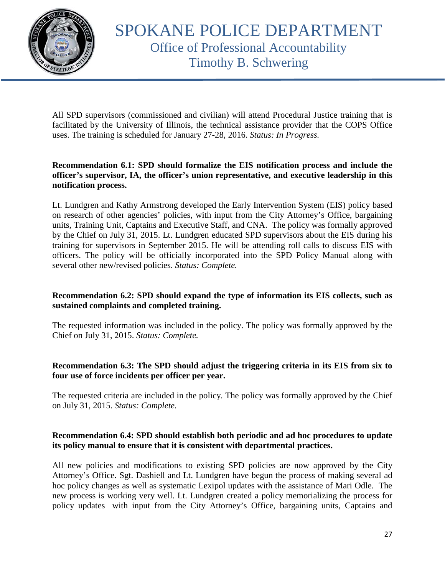

All SPD supervisors (commissioned and civilian) will attend Procedural Justice training that is facilitated by the University of Illinois, the technical assistance provider that the COPS Office uses. The training is scheduled for January 27-28, 2016. *Status: In Progress.*

## **Recommendation 6.1: SPD should formalize the EIS notification process and include the officer's supervisor, IA, the officer's union representative, and executive leadership in this notification process.**

Lt. Lundgren and Kathy Armstrong developed the Early Intervention System (EIS) policy based on research of other agencies' policies, with input from the City Attorney's Office, bargaining units, Training Unit, Captains and Executive Staff, and CNA. The policy was formally approved by the Chief on July 31, 2015. Lt. Lundgren educated SPD supervisors about the EIS during his training for supervisors in September 2015. He will be attending roll calls to discuss EIS with officers. The policy will be officially incorporated into the SPD Policy Manual along with several other new/revised policies. *Status: Complete.*

# **Recommendation 6.2: SPD should expand the type of information its EIS collects, such as sustained complaints and completed training.**

The requested information was included in the policy. The policy was formally approved by the Chief on July 31, 2015. *Status: Complete.*

# **Recommendation 6.3: The SPD should adjust the triggering criteria in its EIS from six to four use of force incidents per officer per year.**

The requested criteria are included in the policy. The policy was formally approved by the Chief on July 31, 2015. *Status: Complete.*

# **Recommendation 6.4: SPD should establish both periodic and ad hoc procedures to update its policy manual to ensure that it is consistent with departmental practices.**

All new policies and modifications to existing SPD policies are now approved by the City Attorney's Office. Sgt. Dashiell and Lt. Lundgren have begun the process of making several ad hoc policy changes as well as systematic Lexipol updates with the assistance of Mari Odle. The new process is working very well. Lt. Lundgren created a policy memorializing the process for policy updates with input from the City Attorney's Office, bargaining units, Captains and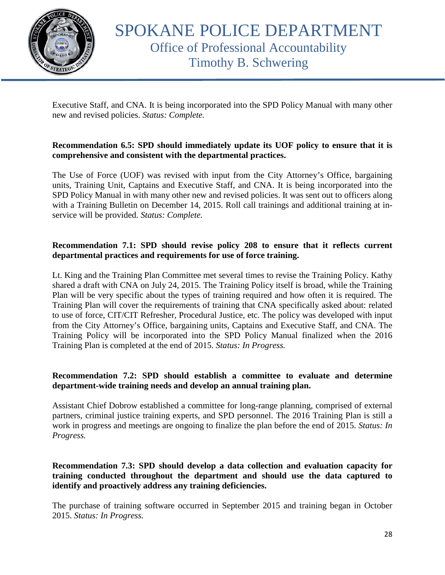

Executive Staff, and CNA. It is being incorporated into the SPD Policy Manual with many other new and revised policies. *Status: Complete.*

# **Recommendation 6.5: SPD should immediately update its UOF policy to ensure that it is comprehensive and consistent with the departmental practices.**

The Use of Force (UOF) was revised with input from the City Attorney's Office, bargaining units, Training Unit, Captains and Executive Staff, and CNA. It is being incorporated into the SPD Policy Manual in with many other new and revised policies. It was sent out to officers along with a Training Bulletin on December 14, 2015. Roll call trainings and additional training at inservice will be provided. *Status: Complete.*

## **Recommendation 7.1: SPD should revise policy 208 to ensure that it reflects current departmental practices and requirements for use of force training.**

Lt. King and the Training Plan Committee met several times to revise the Training Policy. Kathy shared a draft with CNA on July 24, 2015. The Training Policy itself is broad, while the Training Plan will be very specific about the types of training required and how often it is required. The Training Plan will cover the requirements of training that CNA specifically asked about: related to use of force, CIT/CIT Refresher, Procedural Justice, etc. The policy was developed with input from the City Attorney's Office, bargaining units, Captains and Executive Staff, and CNA. The Training Policy will be incorporated into the SPD Policy Manual finalized when the 2016 Training Plan is completed at the end of 2015. *Status: In Progress.* 

# **Recommendation 7.2: SPD should establish a committee to evaluate and determine department-wide training needs and develop an annual training plan.**

Assistant Chief Dobrow established a committee for long-range planning, comprised of external partners, criminal justice training experts, and SPD personnel. The 2016 Training Plan is still a work in progress and meetings are ongoing to finalize the plan before the end of 2015. *Status: In Progress.*

## **Recommendation 7.3: SPD should develop a data collection and evaluation capacity for training conducted throughout the department and should use the data captured to identify and proactively address any training deficiencies.**

The purchase of training software occurred in September 2015 and training began in October 2015. *Status: In Progress.*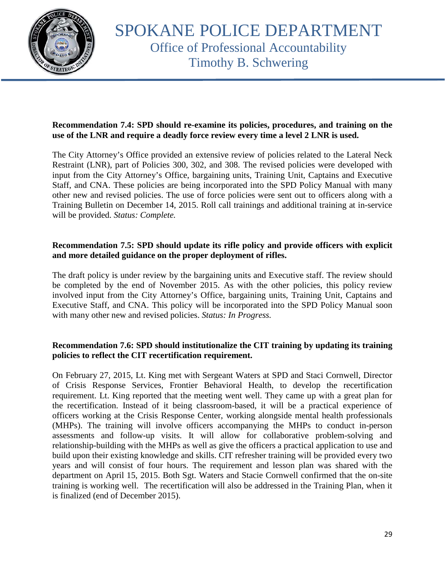

# **Recommendation 7.4: SPD should re-examine its policies, procedures, and training on the use of the LNR and require a deadly force review every time a level 2 LNR is used.**

The City Attorney's Office provided an extensive review of policies related to the Lateral Neck Restraint (LNR), part of Policies 300, 302, and 308. The revised policies were developed with input from the City Attorney's Office, bargaining units, Training Unit, Captains and Executive Staff, and CNA. These policies are being incorporated into the SPD Policy Manual with many other new and revised policies. The use of force policies were sent out to officers along with a Training Bulletin on December 14, 2015. Roll call trainings and additional training at in-service will be provided. *Status: Complete.*

# **Recommendation 7.5: SPD should update its rifle policy and provide officers with explicit and more detailed guidance on the proper deployment of rifles.**

The draft policy is under review by the bargaining units and Executive staff. The review should be completed by the end of November 2015. As with the other policies, this policy review involved input from the City Attorney's Office, bargaining units, Training Unit, Captains and Executive Staff, and CNA. This policy will be incorporated into the SPD Policy Manual soon with many other new and revised policies. *Status: In Progress.*

## **Recommendation 7.6: SPD should institutionalize the CIT training by updating its training policies to reflect the CIT recertification requirement.**

On February 27, 2015, Lt. King met with Sergeant Waters at SPD and Staci Cornwell, Director of Crisis Response Services, Frontier Behavioral Health, to develop the recertification requirement. Lt. King reported that the meeting went well. They came up with a great plan for the recertification. Instead of it being classroom-based, it will be a practical experience of officers working at the Crisis Response Center, working alongside mental health professionals (MHPs). The training will involve officers accompanying the MHPs to conduct in-person assessments and follow-up visits. It will allow for collaborative problem-solving and relationship-building with the MHPs as well as give the officers a practical application to use and build upon their existing knowledge and skills. CIT refresher training will be provided every two years and will consist of four hours. The requirement and lesson plan was shared with the department on April 15, 2015. Both Sgt. Waters and Stacie Cornwell confirmed that the on-site training is working well. The recertification will also be addressed in the Training Plan, when it is finalized (end of December 2015).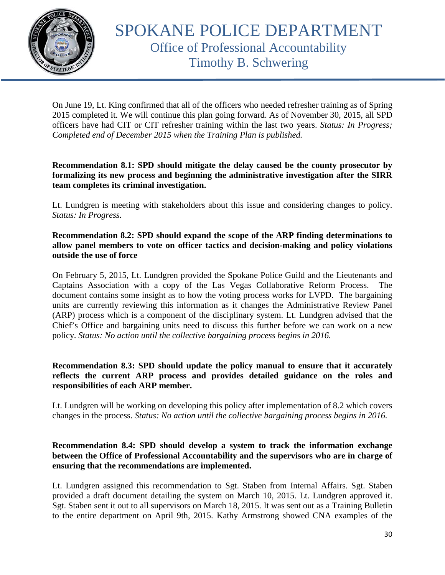

On June 19, Lt. King confirmed that all of the officers who needed refresher training as of Spring 2015 completed it. We will continue this plan going forward. As of November 30, 2015, all SPD officers have had CIT or CIT refresher training within the last two years. *Status: In Progress; Completed end of December 2015 when the Training Plan is published.*

**Recommendation 8.1: SPD should mitigate the delay caused be the county prosecutor by formalizing its new process and beginning the administrative investigation after the SIRR team completes its criminal investigation.**

Lt. Lundgren is meeting with stakeholders about this issue and considering changes to policy. *Status: In Progress.*

## **Recommendation 8.2: SPD should expand the scope of the ARP finding determinations to allow panel members to vote on officer tactics and decision-making and policy violations outside the use of force**

On February 5, 2015, Lt. Lundgren provided the Spokane Police Guild and the Lieutenants and Captains Association with a copy of the Las Vegas Collaborative Reform Process. document contains some insight as to how the voting process works for LVPD. The bargaining units are currently reviewing this information as it changes the Administrative Review Panel (ARP) process which is a component of the disciplinary system. Lt. Lundgren advised that the Chief's Office and bargaining units need to discuss this further before we can work on a new policy. *Status: No action until the collective bargaining process begins in 2016.*

## **Recommendation 8.3: SPD should update the policy manual to ensure that it accurately reflects the current ARP process and provides detailed guidance on the roles and responsibilities of each ARP member.**

Lt. Lundgren will be working on developing this policy after implementation of 8.2 which covers changes in the process. *Status: No action until the collective bargaining process begins in 2016.*

#### **Recommendation 8.4: SPD should develop a system to track the information exchange between the Office of Professional Accountability and the supervisors who are in charge of ensuring that the recommendations are implemented.**

Lt. Lundgren assigned this recommendation to Sgt. Staben from Internal Affairs. Sgt. Staben provided a draft document detailing the system on March 10, 2015. Lt. Lundgren approved it. Sgt. Staben sent it out to all supervisors on March 18, 2015. It was sent out as a Training Bulletin to the entire department on April 9th, 2015. Kathy Armstrong showed CNA examples of the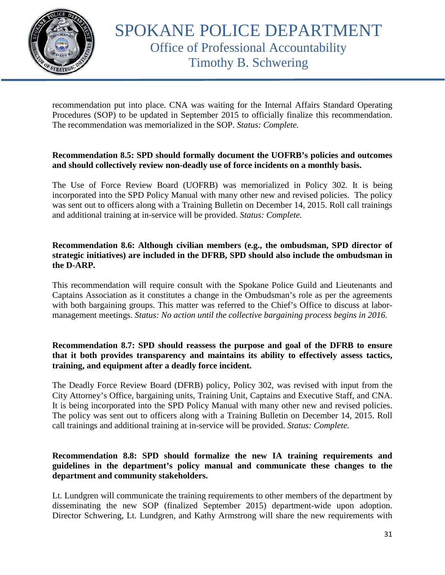

recommendation put into place. CNA was waiting for the Internal Affairs Standard Operating Procedures (SOP) to be updated in September 2015 to officially finalize this recommendation. The recommendation was memorialized in the SOP. *Status: Complete.*

## **Recommendation 8.5: SPD should formally document the UOFRB's policies and outcomes and should collectively review non-deadly use of force incidents on a monthly basis.**

The Use of Force Review Board (UOFRB) was memorialized in Policy 302. It is being incorporated into the SPD Policy Manual with many other new and revised policies. The policy was sent out to officers along with a Training Bulletin on December 14, 2015. Roll call trainings and additional training at in-service will be provided. *Status: Complete.*

## **Recommendation 8.6: Although civilian members (e.g., the ombudsman, SPD director of strategic initiatives) are included in the DFRB, SPD should also include the ombudsman in the D-ARP.**

This recommendation will require consult with the Spokane Police Guild and Lieutenants and Captains Association as it constitutes a change in the Ombudsman's role as per the agreements with both bargaining groups. This matter was referred to the Chief's Office to discuss at labormanagement meetings. *Status: No action until the collective bargaining process begins in 2016.*

## **Recommendation 8.7: SPD should reassess the purpose and goal of the DFRB to ensure that it both provides transparency and maintains its ability to effectively assess tactics, training, and equipment after a deadly force incident.**

The Deadly Force Review Board (DFRB) policy, Policy 302, was revised with input from the City Attorney's Office, bargaining units, Training Unit, Captains and Executive Staff, and CNA. It is being incorporated into the SPD Policy Manual with many other new and revised policies. The policy was sent out to officers along with a Training Bulletin on December 14, 2015. Roll call trainings and additional training at in-service will be provided. *Status: Complete.*

## **Recommendation 8.8: SPD should formalize the new IA training requirements and guidelines in the department's policy manual and communicate these changes to the department and community stakeholders.**

Lt. Lundgren will communicate the training requirements to other members of the department by disseminating the new SOP (finalized September 2015) department-wide upon adoption. Director Schwering, Lt. Lundgren, and Kathy Armstrong will share the new requirements with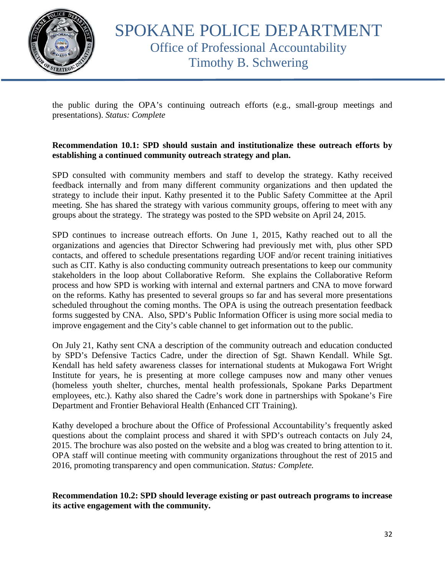

the public during the OPA's continuing outreach efforts (e.g., small-group meetings and presentations). *Status: Complete*

## **Recommendation 10.1: SPD should sustain and institutionalize these outreach efforts by establishing a continued community outreach strategy and plan.**

SPD consulted with community members and staff to develop the strategy. Kathy received feedback internally and from many different community organizations and then updated the strategy to include their input. Kathy presented it to the Public Safety Committee at the April meeting. She has shared the strategy with various community groups, offering to meet with any groups about the strategy. The strategy was posted to the SPD website on April 24, 2015.

SPD continues to increase outreach efforts. On June 1, 2015, Kathy reached out to all the organizations and agencies that Director Schwering had previously met with, plus other SPD contacts, and offered to schedule presentations regarding UOF and/or recent training initiatives such as CIT. Kathy is also conducting community outreach presentations to keep our community stakeholders in the loop about Collaborative Reform. She explains the Collaborative Reform process and how SPD is working with internal and external partners and CNA to move forward on the reforms. Kathy has presented to several groups so far and has several more presentations scheduled throughout the coming months. The OPA is using the outreach presentation feedback forms suggested by CNA. Also, SPD's Public Information Officer is using more social media to improve engagement and the City's cable channel to get information out to the public.

On July 21, Kathy sent CNA a description of the community outreach and education conducted by SPD's Defensive Tactics Cadre, under the direction of Sgt. Shawn Kendall. While Sgt. Kendall has held safety awareness classes for international students at Mukogawa Fort Wright Institute for years, he is presenting at more college campuses now and many other venues (homeless youth shelter, churches, mental health professionals, Spokane Parks Department employees, etc.). Kathy also shared the Cadre's work done in partnerships with Spokane's Fire Department and Frontier Behavioral Health (Enhanced CIT Training).

Kathy developed a brochure about the Office of Professional Accountability's frequently asked questions about the complaint process and shared it with SPD's outreach contacts on July 24, 2015. The brochure was also posted on the website and a blog was created to bring attention to it. OPA staff will continue meeting with community organizations throughout the rest of 2015 and 2016, promoting transparency and open communication. *Status: Complete.*

**Recommendation 10.2: SPD should leverage existing or past outreach programs to increase its active engagement with the community.**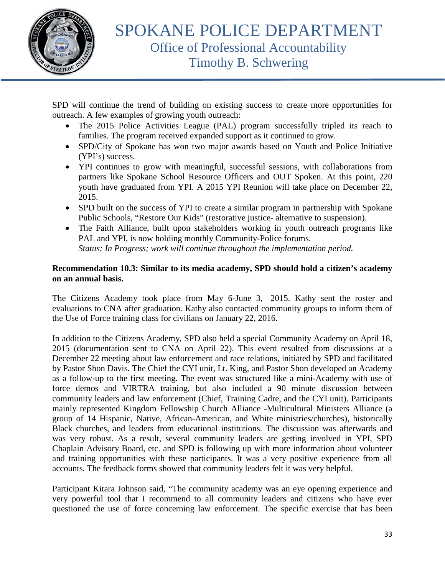

SPD will continue the trend of building on existing success to create more opportunities for outreach. A few examples of growing youth outreach:

- The 2015 Police Activities League (PAL) program successfully tripled its reach to families. The program received expanded support as it continued to grow.
- SPD/City of Spokane has won two major awards based on Youth and Police Initiative (YPI's) success.
- YPI continues to grow with meaningful, successful sessions, with collaborations from partners like Spokane School Resource Officers and OUT Spoken. At this point, 220 youth have graduated from YPI. A 2015 YPI Reunion will take place on December 22, 2015.
- SPD built on the success of YPI to create a similar program in partnership with Spokane Public Schools, "Restore Our Kids" (restorative justice- alternative to suspension).
- The Faith Alliance, built upon stakeholders working in youth outreach programs like PAL and YPI, is now holding monthly Community-Police forums. *Status: In Progress; work will continue throughout the implementation period.*

# **Recommendation 10.3: Similar to its media academy, SPD should hold a citizen's academy on an annual basis.**

The Citizens Academy took place from May 6-June 3, 2015. Kathy sent the roster and evaluations to CNA after graduation. Kathy also contacted community groups to inform them of the Use of Force training class for civilians on January 22, 2016.

In addition to the Citizens Academy, SPD also held a special Community Academy on April 18, 2015 (documentation sent to CNA on April 22). This event resulted from discussions at a December 22 meeting about law enforcement and race relations, initiated by SPD and facilitated by Pastor Shon Davis. The Chief the CYI unit, Lt. King, and Pastor Shon developed an Academy as a follow-up to the first meeting. The event was structured like a mini-Academy with use of force demos and VIRTRA training, but also included a 90 minute discussion between community leaders and law enforcement (Chief, Training Cadre, and the CYI unit). Participants mainly represented Kingdom Fellowship Church Alliance -Multicultural Ministers Alliance (a group of 14 Hispanic, Native, African-American, and White ministries/churches), historically Black churches, and leaders from educational institutions. The discussion was afterwards and was very robust. As a result, several community leaders are getting involved in YPI, SPD Chaplain Advisory Board, etc. and SPD is following up with more information about volunteer and training opportunities with these participants. It was a very positive experience from all accounts. The feedback forms showed that community leaders felt it was very helpful.

Participant Kitara Johnson said, "The community academy was an eye opening experience and very powerful tool that I recommend to all community leaders and citizens who have ever questioned the use of force concerning law enforcement. The specific exercise that has been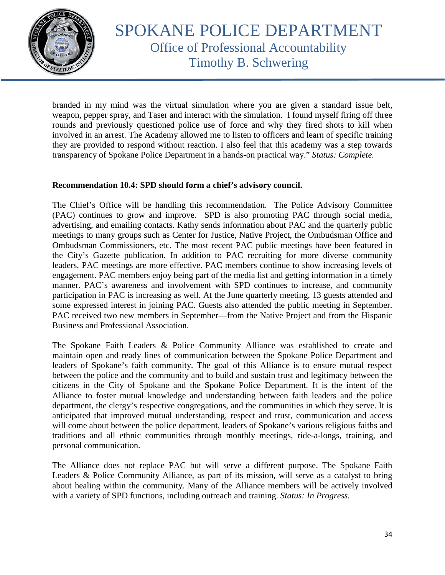

# SPOKANE POLICE DEPARTMENT Office of Professional Accountability Timothy B. Schwering

branded in my mind was the virtual simulation where you are given a standard issue belt, weapon, pepper spray, and Taser and interact with the simulation. I found myself firing off three rounds and previously questioned police use of force and why they fired shots to kill when involved in an arrest. The Academy allowed me to listen to officers and learn of specific training they are provided to respond without reaction. I also feel that this academy was a step towards transparency of Spokane Police Department in a hands-on practical way." *Status: Complete.*

#### **Recommendation 10.4: SPD should form a chief's advisory council.**

The Chief's Office will be handling this recommendation. The Police Advisory Committee (PAC) continues to grow and improve. SPD is also promoting PAC through social media, advertising, and emailing contacts. Kathy sends information about PAC and the quarterly public meetings to many groups such as Center for Justice, Native Project, the Ombudsman Office and Ombudsman Commissioners, etc. The most recent PAC public meetings have been featured in the City's Gazette publication. In addition to PAC recruiting for more diverse community leaders, PAC meetings are more effective. PAC members continue to show increasing levels of engagement. PAC members enjoy being part of the media list and getting information in a timely manner. PAC's awareness and involvement with SPD continues to increase, and community participation in PAC is increasing as well. At the June quarterly meeting, 13 guests attended and some expressed interest in joining PAC. Guests also attended the public meeting in September. PAC received two new members in September—from the Native Project and from the Hispanic Business and Professional Association.

The Spokane Faith Leaders & Police Community Alliance was established to create and maintain open and ready lines of communication between the Spokane Police Department and leaders of Spokane's faith community. The goal of this Alliance is to ensure mutual respect between the police and the community and to build and sustain trust and legitimacy between the citizens in the City of Spokane and the Spokane Police Department. It is the intent of the Alliance to foster mutual knowledge and understanding between faith leaders and the police department, the clergy's respective congregations, and the communities in which they serve. It is anticipated that improved mutual understanding, respect and trust, communication and access will come about between the police department, leaders of Spokane's various religious faiths and traditions and all ethnic communities through monthly meetings, ride-a-longs, training, and personal communication.

The Alliance does not replace PAC but will serve a different purpose. The Spokane Faith Leaders & Police Community Alliance, as part of its mission, will serve as a catalyst to bring about healing within the community. Many of the Alliance members will be actively involved with a variety of SPD functions, including outreach and training. *Status: In Progress.*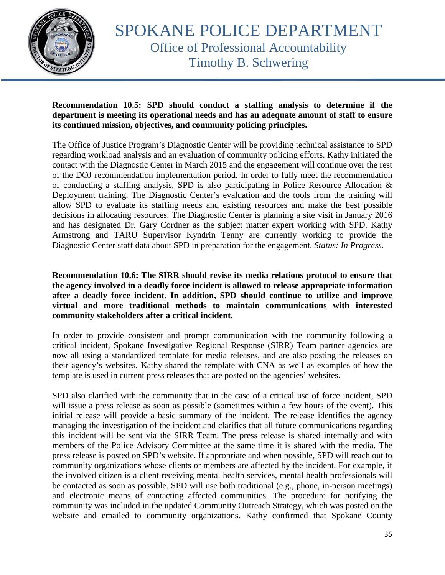

## **Recommendation 10.5: SPD should conduct a staffing analysis to determine if the department is meeting its operational needs and has an adequate amount of staff to ensure its continued mission, objectives, and community policing principles.**

The Office of Justice Program's Diagnostic Center will be providing technical assistance to SPD regarding workload analysis and an evaluation of community policing efforts. Kathy initiated the contact with the Diagnostic Center in March 2015 and the engagement will continue over the rest of the DOJ recommendation implementation period. In order to fully meet the recommendation of conducting a staffing analysis, SPD is also participating in Police Resource Allocation & Deployment training. The Diagnostic Center's evaluation and the tools from the training will allow SPD to evaluate its staffing needs and existing resources and make the best possible decisions in allocating resources. The Diagnostic Center is planning a site visit in January 2016 and has designated Dr. Gary Cordner as the subject matter expert working with SPD. Kathy Armstrong and TARU Supervisor Kyndrin Tenny are currently working to provide the Diagnostic Center staff data about SPD in preparation for the engagement. *Status: In Progress.*

## **Recommendation 10.6: The SIRR should revise its media relations protocol to ensure that the agency involved in a deadly force incident is allowed to release appropriate information after a deadly force incident. In addition, SPD should continue to utilize and improve virtual and more traditional methods to maintain communications with interested community stakeholders after a critical incident.**

In order to provide consistent and prompt communication with the community following a critical incident, Spokane Investigative Regional Response (SIRR) Team partner agencies are now all using a standardized template for media releases, and are also posting the releases on their agency's websites. Kathy shared the template with CNA as well as examples of how the template is used in current press releases that are posted on the agencies' websites.

SPD also clarified with the community that in the case of a critical use of force incident, SPD will issue a press release as soon as possible (sometimes within a few hours of the event). This initial release will provide a basic summary of the incident. The release identifies the agency managing the investigation of the incident and clarifies that all future communications regarding this incident will be sent via the SIRR Team. The press release is shared internally and with members of the Police Advisory Committee at the same time it is shared with the media. The press release is posted on SPD's website. If appropriate and when possible, SPD will reach out to community organizations whose clients or members are affected by the incident. For example, if the involved citizen is a client receiving mental health services, mental health professionals will be contacted as soon as possible. SPD will use both traditional (e.g., phone, in-person meetings) and electronic means of contacting affected communities. The procedure for notifying the community was included in the updated Community Outreach Strategy, which was posted on the website and emailed to community organizations. Kathy confirmed that Spokane County